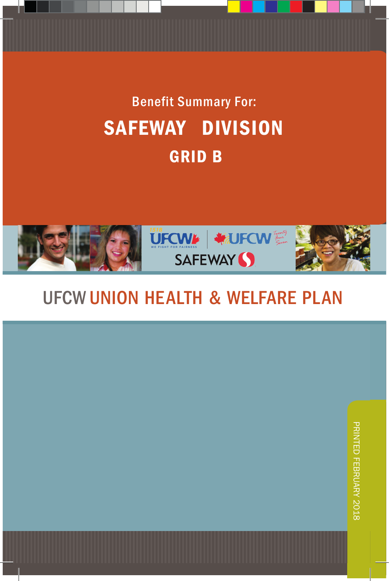# Benefit Summary For: SAFEWAY DIVISION GRID B



# *LOCAL UNION HEALTH & WELFARE PLAN*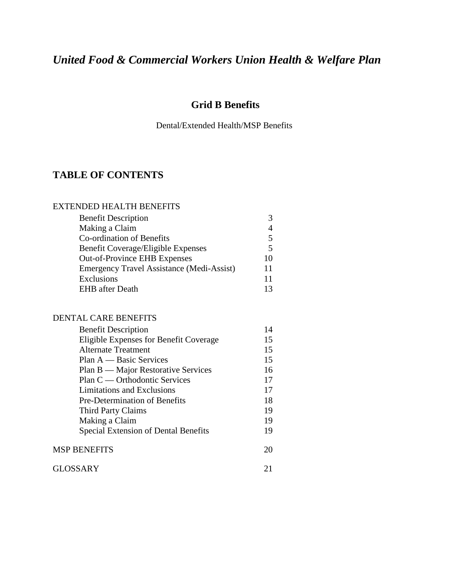# *United Food & Commercial Workers Union Health & Welfare Plan*

# **Grid B Benefits**

Dental/Extended Health/MSP Benefits

# **TABLE OF CONTENTS**

#### EXTENDED HEALTH BENEFITS

| <b>Benefit Description</b>                       | 3  |
|--------------------------------------------------|----|
| Making a Claim                                   | 4  |
| <b>Co-ordination of Benefits</b>                 | 5  |
| <b>Benefit Coverage/Eligible Expenses</b>        | 5  |
| <b>Out-of-Province EHB Expenses</b>              | 10 |
| <b>Emergency Travel Assistance (Medi-Assist)</b> | 11 |
| <b>Exclusions</b>                                | 11 |
| <b>EHB</b> after Death                           | 13 |
|                                                  |    |

#### DENTAL CARE BENEFITS

| <b>Benefit Description</b>             | 14 |
|----------------------------------------|----|
| Eligible Expenses for Benefit Coverage | 15 |
| <b>Alternate Treatment</b>             | 15 |
| $Plan A - Basic Services$              | 15 |
| Plan B — Major Restorative Services    | 16 |
| Plan C — Orthodontic Services          | 17 |
| Limitations and Exclusions             | 17 |
| <b>Pre-Determination of Benefits</b>   | 18 |
| <b>Third Party Claims</b>              | 19 |
| Making a Claim                         | 19 |
| Special Extension of Dental Benefits   | 19 |
| <b>MSP BENEFITS</b>                    | 20 |
| GLOSSARY                               | 21 |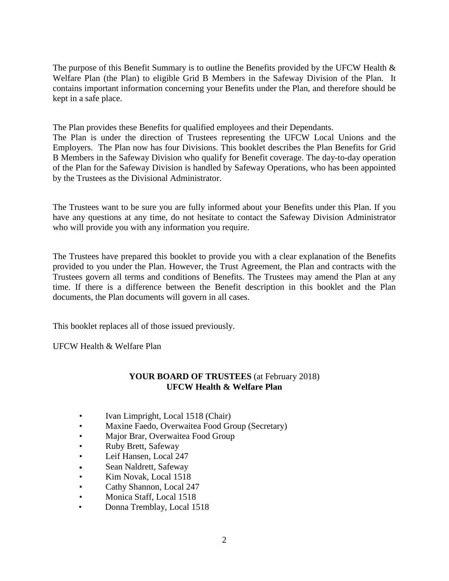The purpose of this Benefit Summary is to outline the Benefits provided by the UFCW Health  $\&$ Welfare Plan (the Plan) to eligible Grid B Members in the Safeway Division of the Plan. It contains important information concerning your Benefits under the Plan, and therefore should be kept in a safe place.

The Plan provides these Benefits for qualified employees and their Dependants.

The Plan is under the direction of Trustees representing the UFCW Local Unions and the Employers. The Plan now has four Divisions. This booklet describes the Plan Benefits for Grid B Members in the Safeway Division who qualify for Benefit coverage. The day-to-day operation of the Plan for the Safeway Division is handled by Safeway Operations, who has been appointed by the Trustees as the Divisional Administrator.

The Trustees want to be sure you are fully informed about your Benefits under this Plan. If you have any questions at any time, do not hesitate to contact the Safeway Division Administrator who will provide you with any information you require.

The Trustees have prepared this booklet to provide you with a clear explanation of the Benefits provided to you under the Plan. However, the Trust Agreement, the Plan and contracts with the Trustees govern all terms and conditions of Benefits. The Trustees may amend the Plan at any time. If there is a difference between the Benefit description in this booklet and the Plan documents, the Plan documents will govern in all cases.

This booklet replaces all of those issued previously.

UFCW Health & Welfare Plan

## **YOUR BOARD OF TRUSTEES** (at February 2018) **UFCW Health & Welfare Plan**

- Ivan Limpright, Local 1518 (Chair)
- Maxine Faedo, Overwaitea Food Group (Secretary)
- Major Brar, Overwaitea Food Group
- Ruby Brett, Safeway
- Leif Hansen, Local 247
- Sean Naldrett, Safeway
- Kim Novak, Local 1518
- Cathy Shannon, Local 247
- Monica Staff, Local 1518
- Donna Tremblay, Local 1518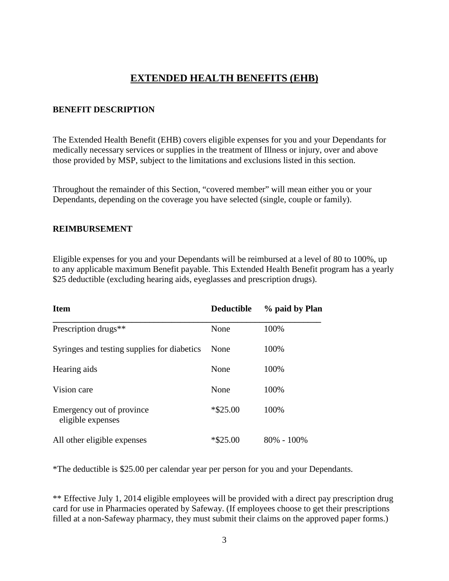# **EXTENDED HEALTH BENEFITS (EHB)**

#### **BENEFIT DESCRIPTION**

The Extended Health Benefit (EHB) covers eligible expenses for you and your Dependants for medically necessary services or supplies in the treatment of Illness or injury, over and above those provided by MSP, subject to the limitations and exclusions listed in this section.

Throughout the remainder of this Section, "covered member" will mean either you or your Dependants, depending on the coverage you have selected (single, couple or family).

#### **REIMBURSEMENT**

Eligible expenses for you and your Dependants will be reimbursed at a level of 80 to 100%, up to any applicable maximum Benefit payable. This Extended Health Benefit program has a yearly \$25 deductible (excluding hearing aids, eyeglasses and prescription drugs).

| <b>Item</b>                                    | <b>Deductible</b> | % paid by Plan |
|------------------------------------------------|-------------------|----------------|
| Prescription drugs <sup>**</sup>               | None              | 100%           |
| Syringes and testing supplies for diabetics    | None              | 100%           |
| Hearing aids                                   | None              | 100%           |
| Vision care                                    | None              | 100%           |
| Emergency out of province<br>eligible expenses | $*$ \$25.00       | 100%           |
| All other eligible expenses                    | $*$ \$25.00       | $80\% - 100\%$ |

\*The deductible is \$25.00 per calendar year per person for you and your Dependants.

\*\* Effective July 1, 2014 eligible employees will be provided with a direct pay prescription drug card for use in Pharmacies operated by Safeway. (If employees choose to get their prescriptions filled at a non-Safeway pharmacy, they must submit their claims on the approved paper forms.)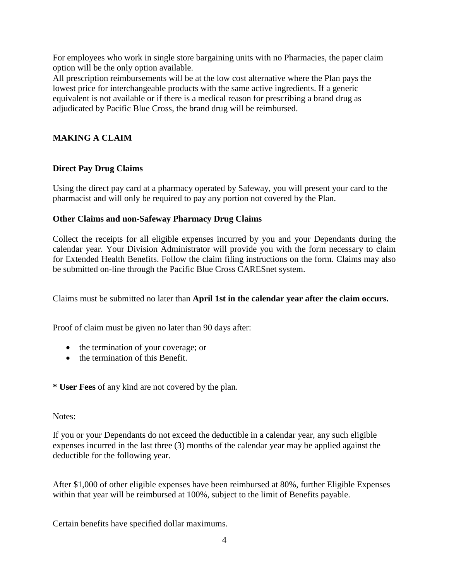For employees who work in single store bargaining units with no Pharmacies, the paper claim option will be the only option available.

All prescription reimbursements will be at the low cost alternative where the Plan pays the lowest price for interchangeable products with the same active ingredients. If a generic equivalent is not available or if there is a medical reason for prescribing a brand drug as adjudicated by Pacific Blue Cross, the brand drug will be reimbursed.

# **MAKING A CLAIM**

#### **Direct Pay Drug Claims**

Using the direct pay card at a pharmacy operated by Safeway, you will present your card to the pharmacist and will only be required to pay any portion not covered by the Plan.

#### **Other Claims and non-Safeway Pharmacy Drug Claims**

Collect the receipts for all eligible expenses incurred by you and your Dependants during the calendar year. Your Division Administrator will provide you with the form necessary to claim for Extended Health Benefits. Follow the claim filing instructions on the form. Claims may also be submitted on-line through the Pacific Blue Cross CARESnet system.

Claims must be submitted no later than **April 1st in the calendar year after the claim occurs.**

Proof of claim must be given no later than 90 days after:

- the termination of your coverage; or
- the termination of this Benefit.

**\* User Fees** of any kind are not covered by the plan.

#### Notes:

If you or your Dependants do not exceed the deductible in a calendar year, any such eligible expenses incurred in the last three (3) months of the calendar year may be applied against the deductible for the following year.

After \$1,000 of other eligible expenses have been reimbursed at 80%, further Eligible Expenses within that year will be reimbursed at 100%, subject to the limit of Benefits payable.

Certain benefits have specified dollar maximums.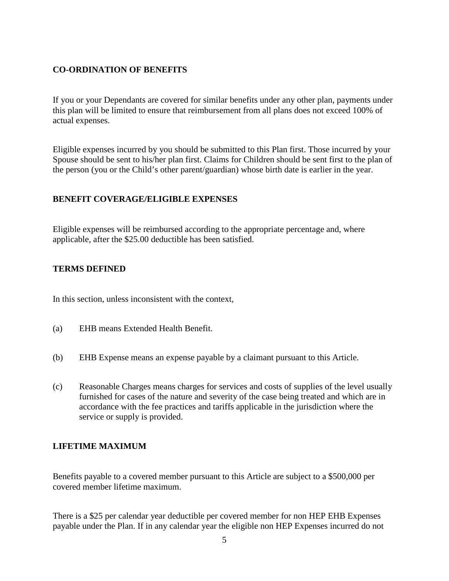#### **CO-ORDINATION OF BENEFITS**

If you or your Dependants are covered for similar benefits under any other plan, payments under this plan will be limited to ensure that reimbursement from all plans does not exceed 100% of actual expenses.

Eligible expenses incurred by you should be submitted to this Plan first. Those incurred by your Spouse should be sent to his/her plan first. Claims for Children should be sent first to the plan of the person (you or the Child's other parent/guardian) whose birth date is earlier in the year.

#### **BENEFIT COVERAGE/ELIGIBLE EXPENSES**

Eligible expenses will be reimbursed according to the appropriate percentage and, where applicable, after the \$25.00 deductible has been satisfied.

#### **TERMS DEFINED**

In this section, unless inconsistent with the context,

- (a) EHB means Extended Health Benefit.
- (b) EHB Expense means an expense payable by a claimant pursuant to this Article.
- (c) Reasonable Charges means charges for services and costs of supplies of the level usually furnished for cases of the nature and severity of the case being treated and which are in accordance with the fee practices and tariffs applicable in the jurisdiction where the service or supply is provided.

## **LIFETIME MAXIMUM**

Benefits payable to a covered member pursuant to this Article are subject to a \$500,000 per covered member lifetime maximum.

There is a \$25 per calendar year deductible per covered member for non HEP EHB Expenses payable under the Plan. If in any calendar year the eligible non HEP Expenses incurred do not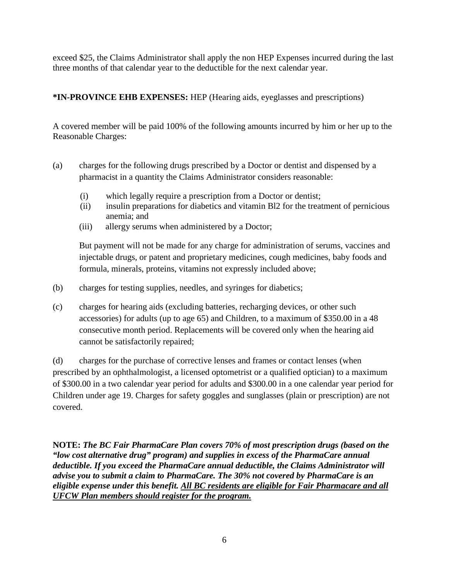exceed \$25, the Claims Administrator shall apply the non HEP Expenses incurred during the last three months of that calendar year to the deductible for the next calendar year.

**\*IN-PROVINCE EHB EXPENSES:** HEP (Hearing aids, eyeglasses and prescriptions)

A covered member will be paid 100% of the following amounts incurred by him or her up to the Reasonable Charges:

- (a) charges for the following drugs prescribed by a Doctor or dentist and dispensed by a pharmacist in a quantity the Claims Administrator considers reasonable:
	- (i) which legally require a prescription from a Doctor or dentist;
	- (ii) insulin preparations for diabetics and vitamin Bl2 for the treatment of pernicious anemia; and
	- (iii) allergy serums when administered by a Doctor;

But payment will not be made for any charge for administration of serums, vaccines and injectable drugs, or patent and proprietary medicines, cough medicines, baby foods and formula, minerals, proteins, vitamins not expressly included above;

- (b) charges for testing supplies, needles, and syringes for diabetics;
- (c) charges for hearing aids (excluding batteries, recharging devices, or other such accessories) for adults (up to age 65) and Children, to a maximum of \$350.00 in a 48 consecutive month period. Replacements will be covered only when the hearing aid cannot be satisfactorily repaired;

(d) charges for the purchase of corrective lenses and frames or contact lenses (when prescribed by an ophthalmologist, a licensed optometrist or a qualified optician) to a maximum of \$300.00 in a two calendar year period for adults and \$300.00 in a one calendar year period for Children under age 19. Charges for safety goggles and sunglasses (plain or prescription) are not covered.

**NOTE:** *The BC Fair PharmaCare Plan covers 70% of most prescription drugs (based on the "low cost alternative drug" program) and supplies in excess of the PharmaCare annual deductible. If you exceed the PharmaCare annual deductible, the Claims Administrator will advise you to submit a claim to PharmaCare. The 30% not covered by PharmaCare is an eligible expense under this benefit. All BC residents are eligible for Fair Pharmacare and all UFCW Plan members should register for the program.*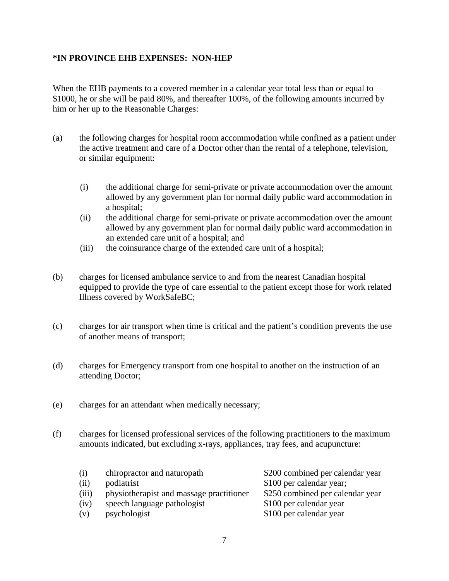#### **\*IN PROVINCE EHB EXPENSES: NON-HEP**

When the EHB payments to a covered member in a calendar year total less than or equal to \$1000, he or she will be paid 80%, and thereafter 100%, of the following amounts incurred by him or her up to the Reasonable Charges:

- (a) the following charges for hospital room accommodation while confined as a patient under the active treatment and care of a Doctor other than the rental of a telephone, television, or similar equipment:
	- (i) the additional charge for semi-private or private accommodation over the amount allowed by any government plan for normal daily public ward accommodation in a hospital;
	- (ii) the additional charge for semi-private or private accommodation over the amount allowed by any government plan for normal daily public ward accommodation in an extended care unit of a hospital; and
	- (iii) the coinsurance charge of the extended care unit of a hospital;
- (b) charges for licensed ambulance service to and from the nearest Canadian hospital equipped to provide the type of care essential to the patient except those for work related Illness covered by WorkSafeBC;
- (c) charges for air transport when time is critical and the patient's condition prevents the use of another means of transport;
- (d) charges for Emergency transport from one hospital to another on the instruction of an attending Doctor;
- (e) charges for an attendant when medically necessary;
- (f) charges for licensed professional services of the following practitioners to the maximum amounts indicated, but excluding x-rays, appliances, tray fees, and acupuncture:

| (i)   | chiropractor and naturopath              | \$200 combined per calendar year |
|-------|------------------------------------------|----------------------------------|
| (ii)  | podiatrist                               | \$100 per calendar year;         |
| (iii) | physiotherapist and massage practitioner | \$250 combined per calendar year |
| (iv)  | speech language pathologist              | \$100 per calendar year          |
| (v)   | psychologist                             | \$100 per calendar year          |
|       |                                          |                                  |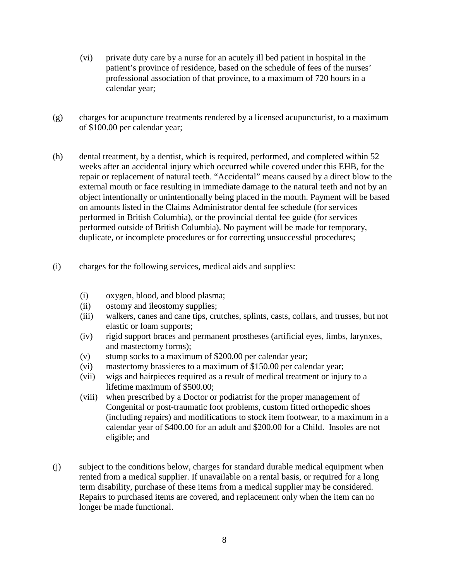- (vi) private duty care by a nurse for an acutely ill bed patient in hospital in the patient's province of residence, based on the schedule of fees of the nurses' professional association of that province, to a maximum of 720 hours in a calendar year;
- (g) charges for acupuncture treatments rendered by a licensed acupuncturist, to a maximum of \$100.00 per calendar year;
- (h) dental treatment, by a dentist, which is required, performed, and completed within 52 weeks after an accidental injury which occurred while covered under this EHB, for the repair or replacement of natural teeth. "Accidental" means caused by a direct blow to the external mouth or face resulting in immediate damage to the natural teeth and not by an object intentionally or unintentionally being placed in the mouth. Payment will be based on amounts listed in the Claims Administrator dental fee schedule (for services performed in British Columbia), or the provincial dental fee guide (for services performed outside of British Columbia). No payment will be made for temporary, duplicate, or incomplete procedures or for correcting unsuccessful procedures;
- (i) charges for the following services, medical aids and supplies:
	- (i) oxygen, blood, and blood plasma;
	- (ii) ostomy and ileostomy supplies;
	- (iii) walkers, canes and cane tips, crutches, splints, casts, collars, and trusses, but not elastic or foam supports;
	- (iv) rigid support braces and permanent prostheses (artificial eyes, limbs, larynxes, and mastectomy forms);
	- (v) stump socks to a maximum of \$200.00 per calendar year;
	- (vi) mastectomy brassieres to a maximum of \$150.00 per calendar year;
	- (vii) wigs and hairpieces required as a result of medical treatment or injury to a lifetime maximum of \$500.00;
	- (viii) when prescribed by a Doctor or podiatrist for the proper management of Congenital or post-traumatic foot problems, custom fitted orthopedic shoes (including repairs) and modifications to stock item footwear, to a maximum in a calendar year of \$400.00 for an adult and \$200.00 for a Child. Insoles are not eligible; and
- (j) subject to the conditions below, charges for standard durable medical equipment when rented from a medical supplier. If unavailable on a rental basis, or required for a long term disability, purchase of these items from a medical supplier may be considered. Repairs to purchased items are covered, and replacement only when the item can no longer be made functional.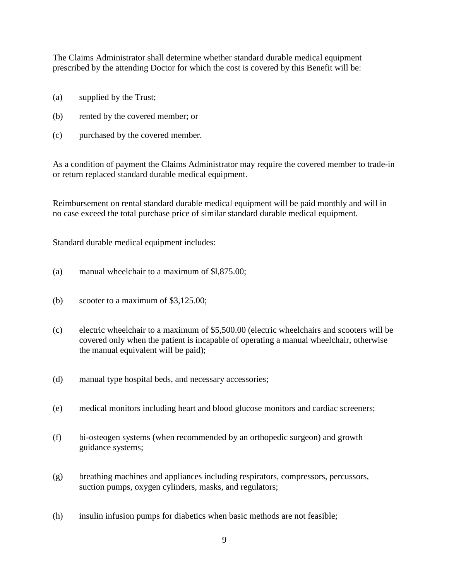The Claims Administrator shall determine whether standard durable medical equipment prescribed by the attending Doctor for which the cost is covered by this Benefit will be:

- (a) supplied by the Trust;
- (b) rented by the covered member; or
- (c) purchased by the covered member.

As a condition of payment the Claims Administrator may require the covered member to trade-in or return replaced standard durable medical equipment.

Reimbursement on rental standard durable medical equipment will be paid monthly and will in no case exceed the total purchase price of similar standard durable medical equipment.

Standard durable medical equipment includes:

- (a) manual wheelchair to a maximum of \$l,875.00;
- (b) scooter to a maximum of \$3,125.00;
- (c) electric wheelchair to a maximum of \$5,500.00 (electric wheelchairs and scooters will be covered only when the patient is incapable of operating a manual wheelchair, otherwise the manual equivalent will be paid);
- (d) manual type hospital beds, and necessary accessories;
- (e) medical monitors including heart and blood glucose monitors and cardiac screeners;
- (f) bi-osteogen systems (when recommended by an orthopedic surgeon) and growth guidance systems;
- (g) breathing machines and appliances including respirators, compressors, percussors, suction pumps, oxygen cylinders, masks, and regulators;
- (h) insulin infusion pumps for diabetics when basic methods are not feasible;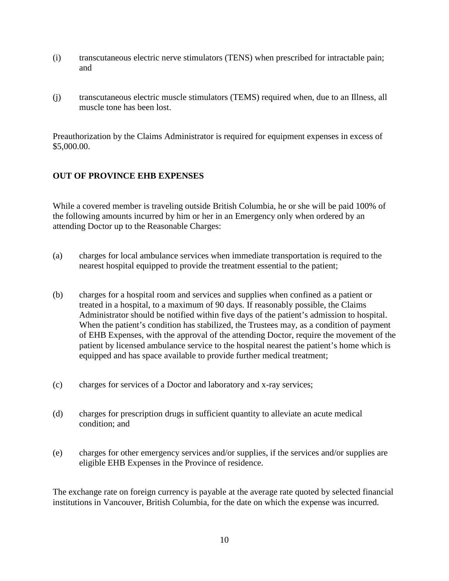- (i) transcutaneous electric nerve stimulators (TENS) when prescribed for intractable pain; and
- (j) transcutaneous electric muscle stimulators (TEMS) required when, due to an Illness, all muscle tone has been lost.

Preauthorization by the Claims Administrator is required for equipment expenses in excess of \$5,000.00.

# **OUT OF PROVINCE EHB EXPENSES**

While a covered member is traveling outside British Columbia, he or she will be paid 100% of the following amounts incurred by him or her in an Emergency only when ordered by an attending Doctor up to the Reasonable Charges:

- (a) charges for local ambulance services when immediate transportation is required to the nearest hospital equipped to provide the treatment essential to the patient;
- (b) charges for a hospital room and services and supplies when confined as a patient or treated in a hospital, to a maximum of 90 days. If reasonably possible, the Claims Administrator should be notified within five days of the patient's admission to hospital. When the patient's condition has stabilized, the Trustees may, as a condition of payment of EHB Expenses, with the approval of the attending Doctor, require the movement of the patient by licensed ambulance service to the hospital nearest the patient's home which is equipped and has space available to provide further medical treatment;
- (c) charges for services of a Doctor and laboratory and x-ray services;
- (d) charges for prescription drugs in sufficient quantity to alleviate an acute medical condition; and
- (e) charges for other emergency services and/or supplies, if the services and/or supplies are eligible EHB Expenses in the Province of residence.

The exchange rate on foreign currency is payable at the average rate quoted by selected financial institutions in Vancouver, British Columbia, for the date on which the expense was incurred.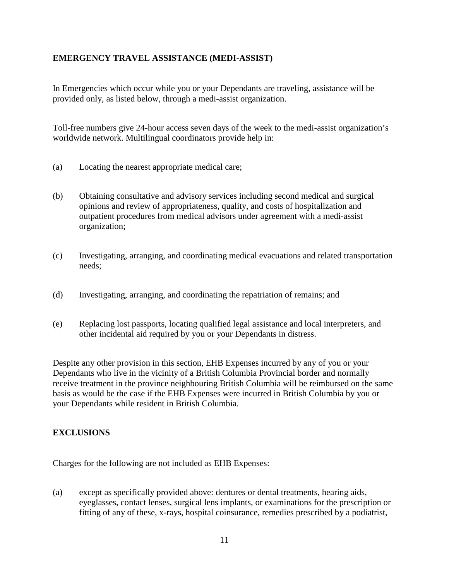## **EMERGENCY TRAVEL ASSISTANCE (MEDI-ASSIST)**

In Emergencies which occur while you or your Dependants are traveling, assistance will be provided only, as listed below, through a medi-assist organization.

Toll-free numbers give 24-hour access seven days of the week to the medi-assist organization's worldwide network. Multilingual coordinators provide help in:

- (a) Locating the nearest appropriate medical care;
- (b) Obtaining consultative and advisory services including second medical and surgical opinions and review of appropriateness, quality, and costs of hospitalization and outpatient procedures from medical advisors under agreement with a medi-assist organization;
- (c) Investigating, arranging, and coordinating medical evacuations and related transportation needs;
- (d) Investigating, arranging, and coordinating the repatriation of remains; and
- (e) Replacing lost passports, locating qualified legal assistance and local interpreters, and other incidental aid required by you or your Dependants in distress.

Despite any other provision in this section, EHB Expenses incurred by any of you or your Dependants who live in the vicinity of a British Columbia Provincial border and normally receive treatment in the province neighbouring British Columbia will be reimbursed on the same basis as would be the case if the EHB Expenses were incurred in British Columbia by you or your Dependants while resident in British Columbia.

## **EXCLUSIONS**

Charges for the following are not included as EHB Expenses:

(a) except as specifically provided above: dentures or dental treatments, hearing aids, eyeglasses, contact lenses, surgical lens implants, or examinations for the prescription or fitting of any of these, x-rays, hospital coinsurance, remedies prescribed by a podiatrist,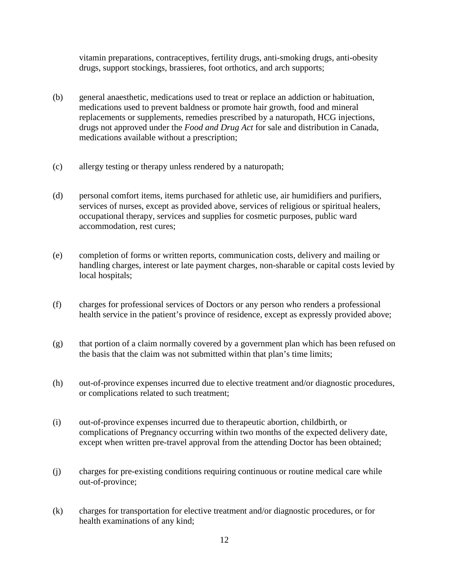vitamin preparations, contraceptives, fertility drugs, anti-smoking drugs, anti-obesity drugs, support stockings, brassieres, foot orthotics, and arch supports;

- (b) general anaesthetic, medications used to treat or replace an addiction or habituation, medications used to prevent baldness or promote hair growth, food and mineral replacements or supplements, remedies prescribed by a naturopath, HCG injections, drugs not approved under the *Food and Drug Act* for sale and distribution in Canada, medications available without a prescription;
- (c) allergy testing or therapy unless rendered by a naturopath;
- (d) personal comfort items, items purchased for athletic use, air humidifiers and purifiers, services of nurses, except as provided above, services of religious or spiritual healers, occupational therapy, services and supplies for cosmetic purposes, public ward accommodation, rest cures;
- (e) completion of forms or written reports, communication costs, delivery and mailing or handling charges, interest or late payment charges, non-sharable or capital costs levied by local hospitals;
- (f) charges for professional services of Doctors or any person who renders a professional health service in the patient's province of residence, except as expressly provided above;
- (g) that portion of a claim normally covered by a government plan which has been refused on the basis that the claim was not submitted within that plan's time limits;
- (h) out-of-province expenses incurred due to elective treatment and/or diagnostic procedures, or complications related to such treatment;
- (i) out-of-province expenses incurred due to therapeutic abortion, childbirth, or complications of Pregnancy occurring within two months of the expected delivery date, except when written pre-travel approval from the attending Doctor has been obtained;
- (j) charges for pre-existing conditions requiring continuous or routine medical care while out-of-province;
- (k) charges for transportation for elective treatment and/or diagnostic procedures, or for health examinations of any kind;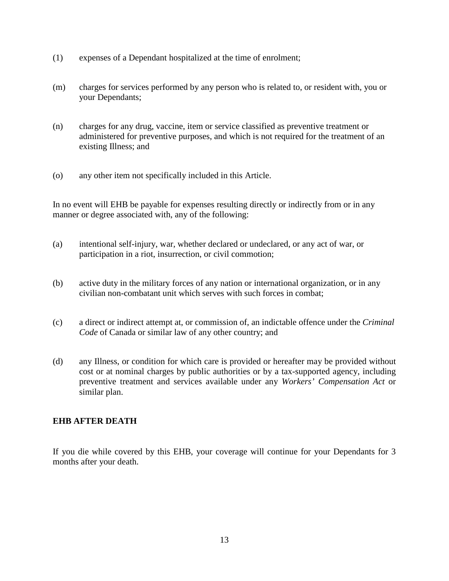- (1) expenses of a Dependant hospitalized at the time of enrolment;
- (m) charges for services performed by any person who is related to, or resident with, you or your Dependants;
- (n) charges for any drug, vaccine, item or service classified as preventive treatment or administered for preventive purposes, and which is not required for the treatment of an existing Illness; and
- (o) any other item not specifically included in this Article.

In no event will EHB be payable for expenses resulting directly or indirectly from or in any manner or degree associated with, any of the following:

- (a) intentional self-injury, war, whether declared or undeclared, or any act of war, or participation in a riot, insurrection, or civil commotion;
- (b) active duty in the military forces of any nation or international organization, or in any civilian non-combatant unit which serves with such forces in combat;
- (c) a direct or indirect attempt at, or commission of, an indictable offence under the *Criminal Code* of Canada or similar law of any other country; and
- (d) any Illness, or condition for which care is provided or hereafter may be provided without cost or at nominal charges by public authorities or by a tax-supported agency, including preventive treatment and services available under any *Workers' Compensation Act* or similar plan.

## **EHB AFTER DEATH**

If you die while covered by this EHB, your coverage will continue for your Dependants for 3 months after your death.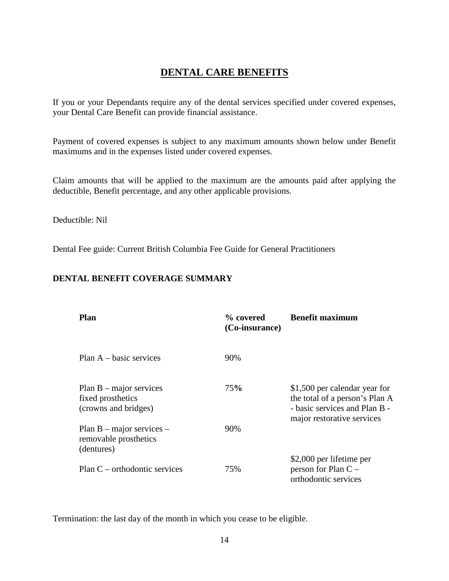# **DENTAL CARE BENEFITS**

If you or your Dependants require any of the dental services specified under covered expenses, your Dental Care Benefit can provide financial assistance.

Payment of covered expenses is subject to any maximum amounts shown below under Benefit maximums and in the expenses listed under covered expenses.

Claim amounts that will be applied to the maximum are the amounts paid after applying the deductible, Benefit percentage, and any other applicable provisions.

Deductible: Nil

Dental Fee guide: Current British Columbia Fee Guide for General Practitioners

# **DENTAL BENEFIT COVERAGE SUMMARY**

| Plan                                                                   | % covered<br>(Co-insurance) | <b>Benefit maximum</b>                                                                                                         |
|------------------------------------------------------------------------|-----------------------------|--------------------------------------------------------------------------------------------------------------------------------|
| Plan $A - basic$ services                                              | 90%                         |                                                                                                                                |
| Plan $B$ – major services<br>fixed prosthetics<br>(crowns and bridges) | 75%                         | \$1,500 per calendar year for<br>the total of a person's Plan A<br>- basic services and Plan B -<br>major restorative services |
| Plan $B$ – major services –<br>removable prosthetics<br>(dentures)     | 90%                         |                                                                                                                                |
| $Plan C - orthodonic$ services                                         | 75%                         | \$2,000 per lifetime per<br>person for Plan $C -$<br>orthodontic services                                                      |

Termination: the last day of the month in which you cease to be eligible.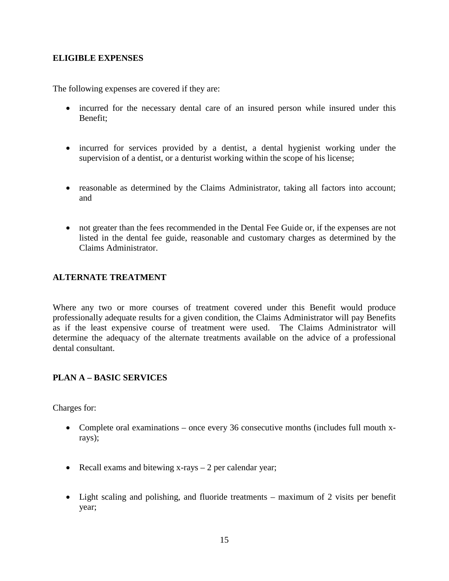#### **ELIGIBLE EXPENSES**

The following expenses are covered if they are:

- incurred for the necessary dental care of an insured person while insured under this Benefit;
- incurred for services provided by a dentist, a dental hygienist working under the supervision of a dentist, or a denturist working within the scope of his license;
- reasonable as determined by the Claims Administrator, taking all factors into account; and
- not greater than the fees recommended in the Dental Fee Guide or, if the expenses are not listed in the dental fee guide, reasonable and customary charges as determined by the Claims Administrator.

#### **ALTERNATE TREATMENT**

Where any two or more courses of treatment covered under this Benefit would produce professionally adequate results for a given condition, the Claims Administrator will pay Benefits as if the least expensive course of treatment were used. The Claims Administrator will determine the adequacy of the alternate treatments available on the advice of a professional dental consultant.

## **PLAN A – BASIC SERVICES**

Charges for:

- Complete oral examinations once every 36 consecutive months (includes full mouth xrays);
- Recall exams and bitewing x-rays 2 per calendar year;
- Light scaling and polishing, and fluoride treatments maximum of 2 visits per benefit year;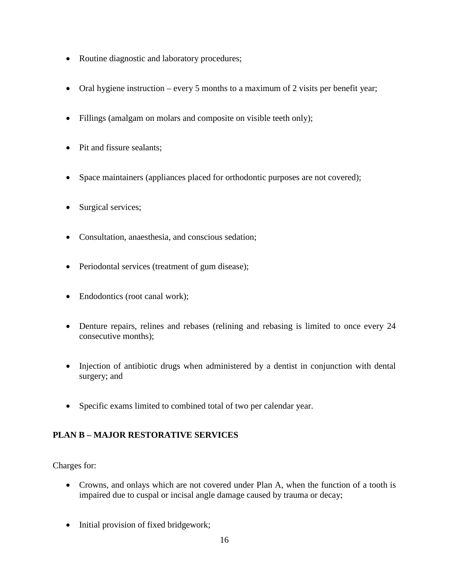- Routine diagnostic and laboratory procedures;
- Oral hygiene instruction every 5 months to a maximum of 2 visits per benefit year;
- Fillings (amalgam on molars and composite on visible teeth only);
- Pit and fissure sealants;
- Space maintainers (appliances placed for orthodontic purposes are not covered);
- Surgical services;
- Consultation, anaesthesia, and conscious sedation;
- Periodontal services (treatment of gum disease);
- Endodontics (root canal work);
- Denture repairs, relines and rebases (relining and rebasing is limited to once every 24 consecutive months);
- Injection of antibiotic drugs when administered by a dentist in conjunction with dental surgery; and
- Specific exams limited to combined total of two per calendar year.

## **PLAN B – MAJOR RESTORATIVE SERVICES**

Charges for:

- Crowns, and onlays which are not covered under Plan A, when the function of a tooth is impaired due to cuspal or incisal angle damage caused by trauma or decay;
- Initial provision of fixed bridgework;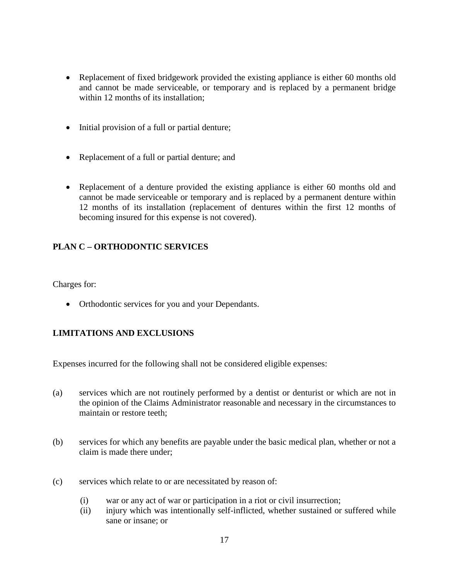- Replacement of fixed bridgework provided the existing appliance is either 60 months old and cannot be made serviceable, or temporary and is replaced by a permanent bridge within 12 months of its installation:
- Initial provision of a full or partial denture;
- Replacement of a full or partial denture; and
- Replacement of a denture provided the existing appliance is either 60 months old and cannot be made serviceable or temporary and is replaced by a permanent denture within 12 months of its installation (replacement of dentures within the first 12 months of becoming insured for this expense is not covered).

# **PLAN C – ORTHODONTIC SERVICES**

Charges for:

• Orthodontic services for you and your Dependants.

# **LIMITATIONS AND EXCLUSIONS**

Expenses incurred for the following shall not be considered eligible expenses:

- (a) services which are not routinely performed by a dentist or denturist or which are not in the opinion of the Claims Administrator reasonable and necessary in the circumstances to maintain or restore teeth;
- (b) services for which any benefits are payable under the basic medical plan, whether or not a claim is made there under;
- (c) services which relate to or are necessitated by reason of:
	- (i) war or any act of war or participation in a riot or civil insurrection;
	- (ii) injury which was intentionally self-inflicted, whether sustained or suffered while sane or insane; or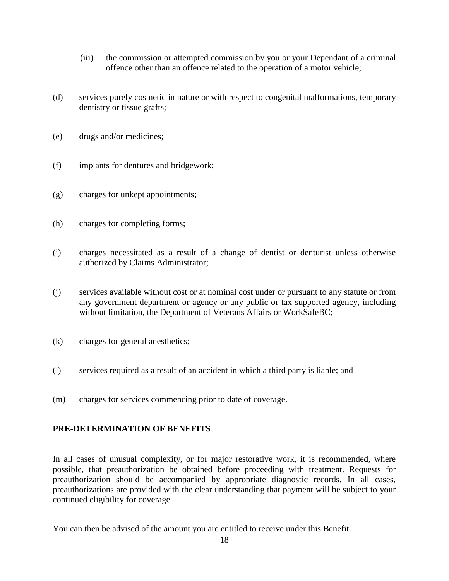- (iii) the commission or attempted commission by you or your Dependant of a criminal offence other than an offence related to the operation of a motor vehicle;
- (d) services purely cosmetic in nature or with respect to congenital malformations, temporary dentistry or tissue grafts;
- (e) drugs and/or medicines;
- (f) implants for dentures and bridgework;
- (g) charges for unkept appointments;
- (h) charges for completing forms;
- (i) charges necessitated as a result of a change of dentist or denturist unless otherwise authorized by Claims Administrator;
- (j) services available without cost or at nominal cost under or pursuant to any statute or from any government department or agency or any public or tax supported agency, including without limitation, the Department of Veterans Affairs or WorkSafeBC;
- (k) charges for general anesthetics;
- (l) services required as a result of an accident in which a third party is liable; and
- (m) charges for services commencing prior to date of coverage.

## **PRE-DETERMINATION OF BENEFITS**

In all cases of unusual complexity, or for major restorative work, it is recommended, where possible, that preauthorization be obtained before proceeding with treatment. Requests for preauthorization should be accompanied by appropriate diagnostic records. In all cases, preauthorizations are provided with the clear understanding that payment will be subject to your continued eligibility for coverage.

You can then be advised of the amount you are entitled to receive under this Benefit.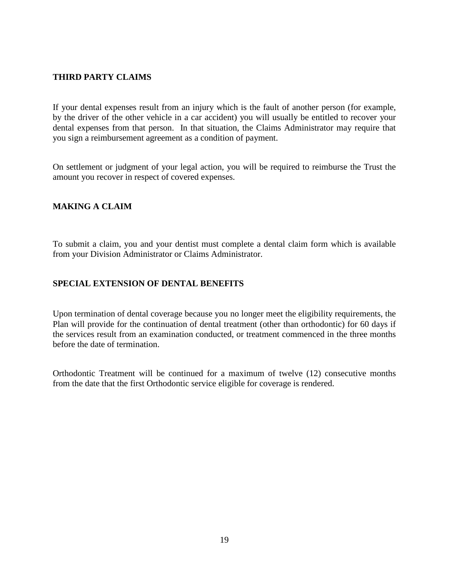## **THIRD PARTY CLAIMS**

If your dental expenses result from an injury which is the fault of another person (for example, by the driver of the other vehicle in a car accident) you will usually be entitled to recover your dental expenses from that person. In that situation, the Claims Administrator may require that you sign a reimbursement agreement as a condition of payment.

On settlement or judgment of your legal action, you will be required to reimburse the Trust the amount you recover in respect of covered expenses.

#### **MAKING A CLAIM**

To submit a claim, you and your dentist must complete a dental claim form which is available from your Division Administrator or Claims Administrator.

#### **SPECIAL EXTENSION OF DENTAL BENEFITS**

Upon termination of dental coverage because you no longer meet the eligibility requirements, the Plan will provide for the continuation of dental treatment (other than orthodontic) for 60 days if the services result from an examination conducted, or treatment commenced in the three months before the date of termination.

Orthodontic Treatment will be continued for a maximum of twelve (12) consecutive months from the date that the first Orthodontic service eligible for coverage is rendered.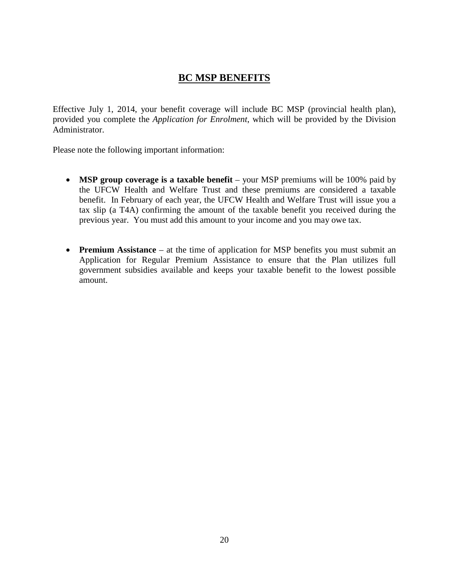# **BC MSP BENEFITS**

Effective July 1, 2014, your benefit coverage will include BC MSP (provincial health plan), provided you complete the *Application for Enrolment*, which will be provided by the Division Administrator.

Please note the following important information:

- **MSP group coverage is a taxable benefit** your MSP premiums will be 100% paid by the UFCW Health and Welfare Trust and these premiums are considered a taxable benefit. In February of each year, the UFCW Health and Welfare Trust will issue you a tax slip (a T4A) confirming the amount of the taxable benefit you received during the previous year. You must add this amount to your income and you may owe tax.
- **Premium Assistance** at the time of application for MSP benefits you must submit an Application for Regular Premium Assistance to ensure that the Plan utilizes full government subsidies available and keeps your taxable benefit to the lowest possible amount.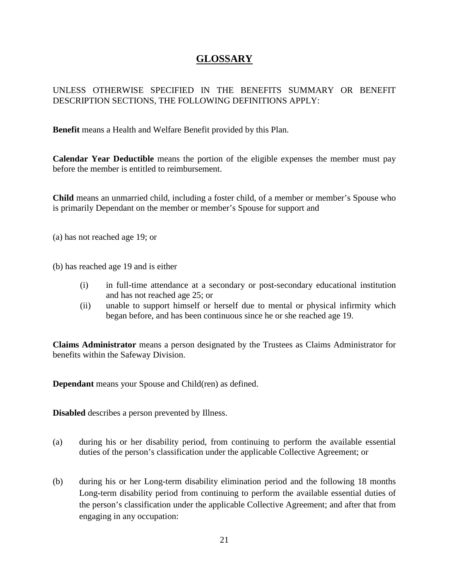# **GLOSSARY**

## UNLESS OTHERWISE SPECIFIED IN THE BENEFITS SUMMARY OR BENEFIT DESCRIPTION SECTIONS, THE FOLLOWING DEFINITIONS APPLY:

**Benefit** means a Health and Welfare Benefit provided by this Plan.

**Calendar Year Deductible** means the portion of the eligible expenses the member must pay before the member is entitled to reimbursement.

**Child** means an unmarried child, including a foster child, of a member or member's Spouse who is primarily Dependant on the member or member's Spouse for support and

- (a) has not reached age 19; or
- (b) has reached age 19 and is either
	- (i) in full-time attendance at a secondary or post-secondary educational institution and has not reached age 25; or
	- (ii) unable to support himself or herself due to mental or physical infirmity which began before, and has been continuous since he or she reached age 19.

**Claims Administrator** means a person designated by the Trustees as Claims Administrator for benefits within the Safeway Division.

**Dependant** means your Spouse and Child(ren) as defined.

**Disabled** describes a person prevented by Illness.

- (a) during his or her disability period, from continuing to perform the available essential duties of the person's classification under the applicable Collective Agreement; or
- (b) during his or her Long-term disability elimination period and the following 18 months Long-term disability period from continuing to perform the available essential duties of the person's classification under the applicable Collective Agreement; and after that from engaging in any occupation: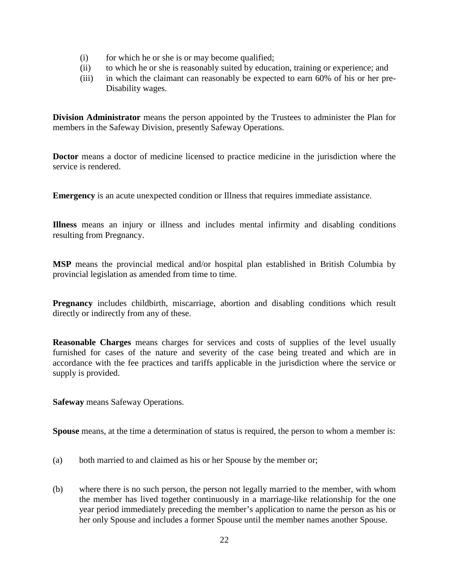- (i) for which he or she is or may become qualified;
- (ii) to which he or she is reasonably suited by education, training or experience; and
- (iii) in which the claimant can reasonably be expected to earn 60% of his or her pre-Disability wages.

**Division Administrator** means the person appointed by the Trustees to administer the Plan for members in the Safeway Division, presently Safeway Operations.

**Doctor** means a doctor of medicine licensed to practice medicine in the jurisdiction where the service is rendered.

**Emergency** is an acute unexpected condition or Illness that requires immediate assistance.

**Illness** means an injury or illness and includes mental infirmity and disabling conditions resulting from Pregnancy.

**MSP** means the provincial medical and/or hospital plan established in British Columbia by provincial legislation as amended from time to time.

**Pregnancy** includes childbirth, miscarriage, abortion and disabling conditions which result directly or indirectly from any of these.

**Reasonable Charges** means charges for services and costs of supplies of the level usually furnished for cases of the nature and severity of the case being treated and which are in accordance with the fee practices and tariffs applicable in the jurisdiction where the service or supply is provided.

**Safeway** means Safeway Operations.

**Spouse** means, at the time a determination of status is required, the person to whom a member is:

- (a) both married to and claimed as his or her Spouse by the member or;
- (b) where there is no such person, the person not legally married to the member, with whom the member has lived together continuously in a marriage-like relationship for the one year period immediately preceding the member's application to name the person as his or her only Spouse and includes a former Spouse until the member names another Spouse.